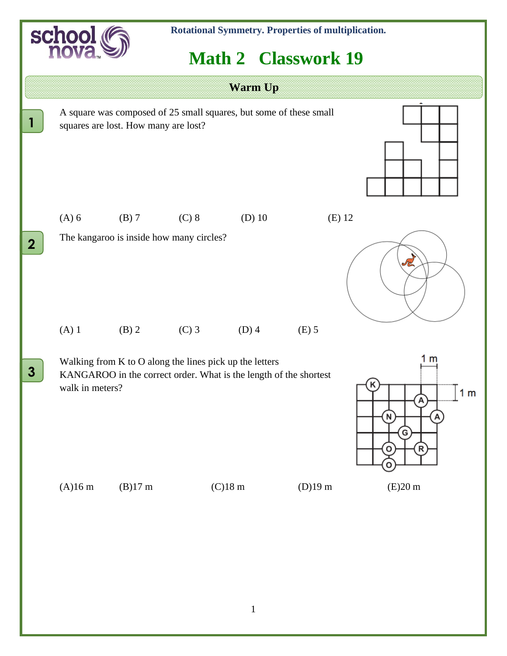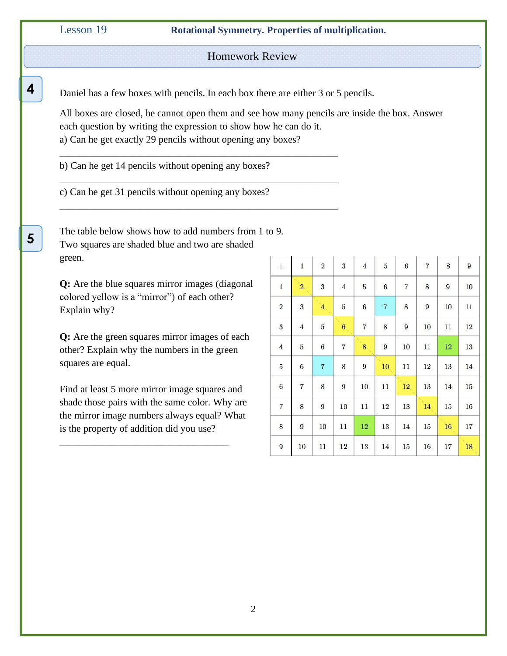**4**

**.**

**5**

**.**

Lesson 19 **Rotational Symmetry. Properties of multiplication.**

Homework Review

Daniel has a few boxes with pencils. In each box there are either 3 or 5 pencils.

\_\_\_\_\_\_\_\_\_\_\_\_\_\_\_\_\_\_\_\_\_\_\_\_\_\_\_\_\_\_\_\_\_\_\_\_\_\_\_\_\_\_\_\_\_\_\_\_\_\_\_\_\_\_\_\_

\_\_\_\_\_\_\_\_\_\_\_\_\_\_\_\_\_\_\_\_\_\_\_\_\_\_\_\_\_\_\_\_\_\_\_\_\_\_\_\_\_\_\_\_\_\_\_\_\_\_\_\_\_\_\_\_

\_\_\_\_\_\_\_\_\_\_\_\_\_\_\_\_\_\_\_\_\_\_\_\_\_\_\_\_\_\_\_\_\_\_\_\_\_\_\_\_\_\_\_\_\_\_\_\_\_\_\_\_\_\_\_\_

All boxes are closed, he cannot open them and see how many pencils are inside the box. Answer each question by writing the expression to show how he can do it. a) Can he get exactly 29 pencils without opening any boxes?

b) Can he get 14 pencils without opening any boxes?

c) Can he get 31 pencils without opening any boxes?

The table below shows how to add numbers from 1 to 9. Two squares are shaded blue and two are shaded green.

**Q:** Are the blue squares mirror images (diagonal colored yellow is a "mirror") of each other? Explain why?

**Q:** Are the green squares mirror images of each other? Explain why the numbers in the green squares are equal.

Find at least 5 more mirror image squares and shade those pairs with the same color. Why are the mirror image numbers always equal? What is the property of addition did you use?

\_\_\_\_\_\_\_\_\_\_\_\_\_\_\_\_\_\_\_\_\_\_\_\_\_\_\_\_\_\_\_\_\_\_

| $^{+}$           | $\mathbf{1}$            | $\,2$          | $\boldsymbol{3}$ | $\overline{4}$          | $\bf 5$          | $6\phantom{.}6$  | $\sqrt{7}$       | 8                | $9\phantom{.0}$ |
|------------------|-------------------------|----------------|------------------|-------------------------|------------------|------------------|------------------|------------------|-----------------|
| $\overline{1}$   | 2 <sub>1</sub>          | $\bf{3}$       | $\overline{4}$   | $\bf 5$                 | $\,6$            | $\overline{7}$   | $\bf 8$          | $\boldsymbol{9}$ | 10              |
| $\sqrt{2}$       | 3                       | 4 <sup>1</sup> | $\overline{5}$   | $\,6$                   | $\overline{7}$   | 8                | $\boldsymbol{9}$ | 10               | 11              |
| $\sqrt{3}$       | $\overline{4}$          | $\bf 5$        | 6                | $\overline{\mathbf{7}}$ | $\bf 8$          | $\boldsymbol{9}$ | 10               | 11               | 12              |
| $\bf{4}$         | $\overline{5}$          | $\,6$          | $\overline{7}$   | 8                       | $\boldsymbol{9}$ | 10               | 11               | 12               | 13              |
| $\bf 5$          | $\boldsymbol{6}$        | $\sqrt{7}$     | 8                | $\boldsymbol{9}$        | 10               | 11               | 12               | 13               | 14              |
| $\,6$            | $\overline{\mathbf{7}}$ | 8              | 9                | 10                      | 11               | 12 <sub>2</sub>  | 13               | 14               | 15              |
| $\sqrt{7}$       | 8                       | 9              | 10               | 11                      | 12               | 13               | 14               | 15               | 16              |
| $\bf 8$          | $\boldsymbol{9}$        | 10             | 11               | 12                      | 13               | 14               | 15               | 16               | 17              |
| $\boldsymbol{9}$ | 10                      | 11             | 12               | 13                      | 14               | 15               | 16               | 17               | 18              |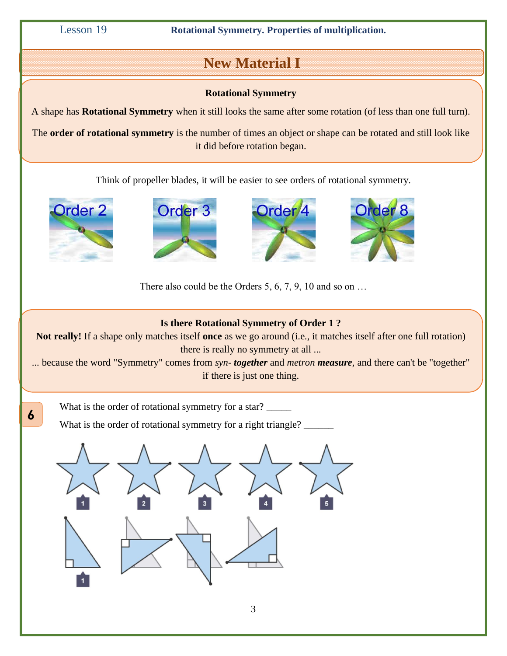Lesson 19 **Rotational Symmetry. Properties of multiplication.**

## **New Material I**

#### **Rotational Symmetry**

A shape has **Rotational Symmetry** when it still looks the same after some rotation (of less than one full turn).

The **order of rotational symmetry** is the number of times an object or shape can be rotated and still look like it did before rotation began.

Think of propeller blades, it will be easier to see orders of rotational symmetry.



**6**

**.**







There also could be the Orders 5, 6, 7, 9, 10 and so on  $\dots$ 

### **Is there Rotational Symmetry of Order 1 ?**

**Not really!** If a shape only matches itself **once** as we go around (i.e., it matches itself after one full rotation) there is really no symmetry at all ...

... because the word "Symmetry" comes from *syn- together* and *metron measure,* and there can't be "together" if there is just one thing.

What is the order of rotational symmetry for a star?

What is the order of rotational symmetry for a right triangle?

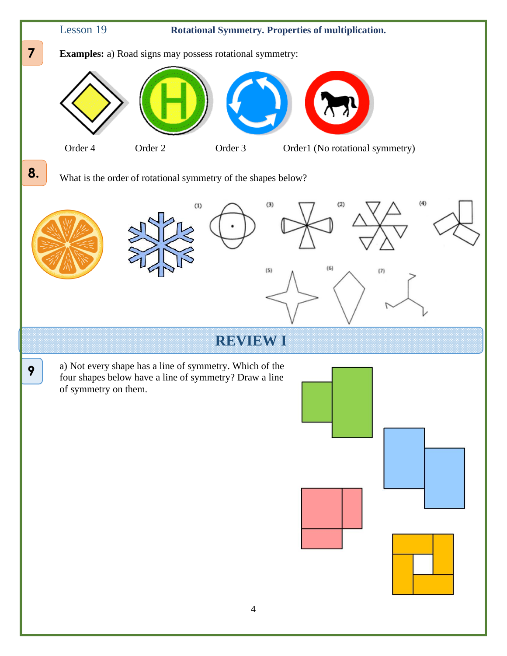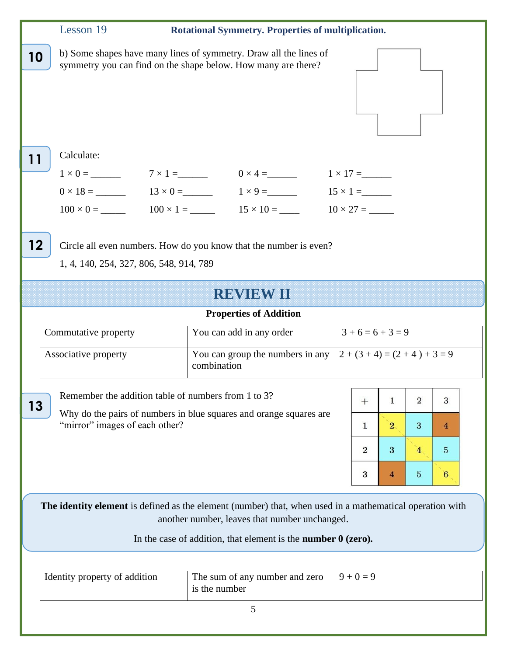|                                                                                                                                                                                                                                   | Lesson 19                                                                             | Rotational Symmetry. Properties of multiplication.                                                                                                                                                                                                                                                                                                                        |                                                                                                                                                                                                                           |  |  |
|-----------------------------------------------------------------------------------------------------------------------------------------------------------------------------------------------------------------------------------|---------------------------------------------------------------------------------------|---------------------------------------------------------------------------------------------------------------------------------------------------------------------------------------------------------------------------------------------------------------------------------------------------------------------------------------------------------------------------|---------------------------------------------------------------------------------------------------------------------------------------------------------------------------------------------------------------------------|--|--|
| 10                                                                                                                                                                                                                                |                                                                                       | b) Some shapes have many lines of symmetry. Draw all the lines of<br>symmetry you can find on the shape below. How many are there?                                                                                                                                                                                                                                        |                                                                                                                                                                                                                           |  |  |
| 11                                                                                                                                                                                                                                | Calculate:                                                                            | $1 \times 0 =$ 7 x 1 = 0 x 4 = 1 x 17 =<br>$0 \times 18 =$ 13 × 0 = 1 × 9 = 15 × 1 = 15 × 1 = 15 × 1 = 15 × 1 = 15 × 1 = 15 × 1 = 15 × 1 = 15 × 1 = 15 × 1 = 15 × 1 = 15 × 1 = 15 × 1 = 15 × 1 = 15 × 1 = 15 × 1 = 15 × 1 = 15 × 1 = 15 × 1 = 15 × 1 = 15 × 1 = 15 × 1 = 15 ×<br>$100 \times 0 =$ 100 $\times$ 1 = 100 $\times$ 1 = 15 $\times$ 10 = 10 $\times$ 27 = 210 |                                                                                                                                                                                                                           |  |  |
| 12                                                                                                                                                                                                                                | 1, 4, 140, 254, 327, 806, 548, 914, 789                                               | Circle all even numbers. How do you know that the number is even?                                                                                                                                                                                                                                                                                                         |                                                                                                                                                                                                                           |  |  |
| <b>REVIEW II</b>                                                                                                                                                                                                                  |                                                                                       |                                                                                                                                                                                                                                                                                                                                                                           |                                                                                                                                                                                                                           |  |  |
|                                                                                                                                                                                                                                   | <b>Properties of Addition</b>                                                         |                                                                                                                                                                                                                                                                                                                                                                           |                                                                                                                                                                                                                           |  |  |
|                                                                                                                                                                                                                                   | Commutative property                                                                  | You can add in any order                                                                                                                                                                                                                                                                                                                                                  | $3+6=6+3=9$                                                                                                                                                                                                               |  |  |
|                                                                                                                                                                                                                                   | Associative property                                                                  | You can group the numbers in any<br>combination                                                                                                                                                                                                                                                                                                                           | $2 + (3 + 4) = (2 + 4) + 3 = 9$                                                                                                                                                                                           |  |  |
| 13                                                                                                                                                                                                                                | Remember the addition table of numbers from 1 to 3?<br>"mirror" images of each other? | Why do the pairs of numbers in blue squares and orange squares are                                                                                                                                                                                                                                                                                                        | $\overline{2}$<br>3<br>$\mathbf{1}$<br>$^{+}$<br>2 <sub>1</sub><br>3<br>$\mathbf{1}$<br>4<br>$\overline{2}$<br>3<br>$\overline{5}$<br>4 <sup>1</sup><br>$6\phantom{.}6$<br>3<br>$\overline{\mathbf{4}}$<br>$\overline{5}$ |  |  |
| The identity element is defined as the element (number) that, when used in a mathematical operation with<br>another number, leaves that number unchanged.<br>In the case of addition, that element is the <b>number 0 (zero).</b> |                                                                                       |                                                                                                                                                                                                                                                                                                                                                                           |                                                                                                                                                                                                                           |  |  |
|                                                                                                                                                                                                                                   | Identity property of addition                                                         | The sum of any number and zero<br>is the number                                                                                                                                                                                                                                                                                                                           | $9 + 0 = 9$                                                                                                                                                                                                               |  |  |
|                                                                                                                                                                                                                                   |                                                                                       | 5                                                                                                                                                                                                                                                                                                                                                                         |                                                                                                                                                                                                                           |  |  |